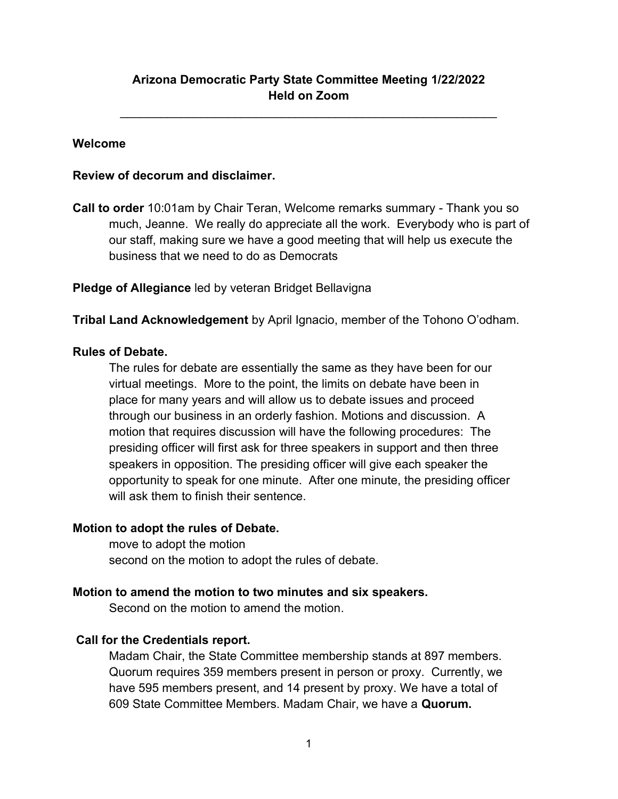# **Arizona Democratic Party State Committee Meeting 1/22/2022 Held on Zoom**

 $\mathcal{L}_\text{max}$  , and the contract of the contract of the contract of the contract of the contract of the contract of the contract of the contract of the contract of the contract of the contract of the contract of the contr

## **Welcome**

## **Review of decorum and disclaimer.**

**Call to order** 10:01am by Chair Teran, Welcome remarks summary - Thank you so much, Jeanne. We really do appreciate all the work. Everybody who is part of our staff, making sure we have a good meeting that will help us execute the business that we need to do as Democrats

## **Pledge of Allegiance** led by veteran Bridget Bellavigna

**Tribal Land Acknowledgement** by April Ignacio, member of the Tohono O'odham.

### **Rules of Debate.**

The rules for debate are essentially the same as they have been for our virtual meetings. More to the point, the limits on debate have been in place for many years and will allow us to debate issues and proceed through our business in an orderly fashion. Motions and discussion. A motion that requires discussion will have the following procedures: The presiding officer will first ask for three speakers in support and then three speakers in opposition. The presiding officer will give each speaker the opportunity to speak for one minute. After one minute, the presiding officer will ask them to finish their sentence.

# **Motion to adopt the rules of Debate.**

move to adopt the motion second on the motion to adopt the rules of debate.

### **Motion to amend the motion to two minutes and six speakers.**

Second on the motion to amend the motion.

# **Call for the Credentials report.**

Madam Chair, the State Committee membership stands at 897 members. Quorum requires 359 members present in person or proxy. Currently, we have 595 members present, and 14 present by proxy. We have a total of 609 State Committee Members. Madam Chair, we have a **Quorum.**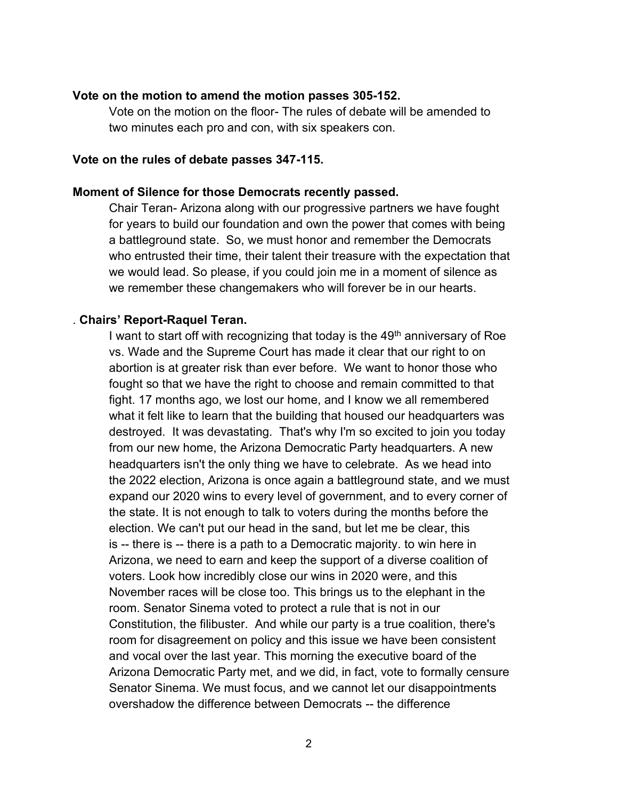#### **Vote on the motion to amend the motion passes 305-152.**

Vote on the motion on the floor- The rules of debate will be amended to two minutes each pro and con, with six speakers con.

#### **Vote on the rules of debate passes 347-115.**

#### **Moment of Silence for those Democrats recently passed.**

Chair Teran- Arizona along with our progressive partners we have fought for years to build our foundation and own the power that comes with being a battleground state. So, we must honor and remember the Democrats who entrusted their time, their talent their treasure with the expectation that we would lead. So please, if you could join me in a moment of silence as we remember these changemakers who will forever be in our hearts.

#### . **Chairs' Report-Raquel Teran.**

I want to start off with recognizing that today is the  $49<sup>th</sup>$  anniversary of Roe vs. Wade and the Supreme Court has made it clear that our right to on abortion is at greater risk than ever before. We want to honor those who fought so that we have the right to choose and remain committed to that fight. 17 months ago, we lost our home, and I know we all remembered what it felt like to learn that the building that housed our headquarters was destroyed. It was devastating. That's why I'm so excited to join you today from our new home, the Arizona Democratic Party headquarters. A new headquarters isn't the only thing we have to celebrate. As we head into the 2022 election, Arizona is once again a battleground state, and we must expand our 2020 wins to every level of government, and to every corner of the state. It is not enough to talk to voters during the months before the election. We can't put our head in the sand, but let me be clear, this is -- there is -- there is a path to a Democratic majority. to win here in Arizona, we need to earn and keep the support of a diverse coalition of voters. Look how incredibly close our wins in 2020 were, and this November races will be close too. This brings us to the elephant in the room. Senator Sinema voted to protect a rule that is not in our Constitution, the filibuster. And while our party is a true coalition, there's room for disagreement on policy and this issue we have been consistent and vocal over the last year. This morning the executive board of the Arizona Democratic Party met, and we did, in fact, vote to formally censure Senator Sinema. We must focus, and we cannot let our disappointments overshadow the difference between Democrats -- the difference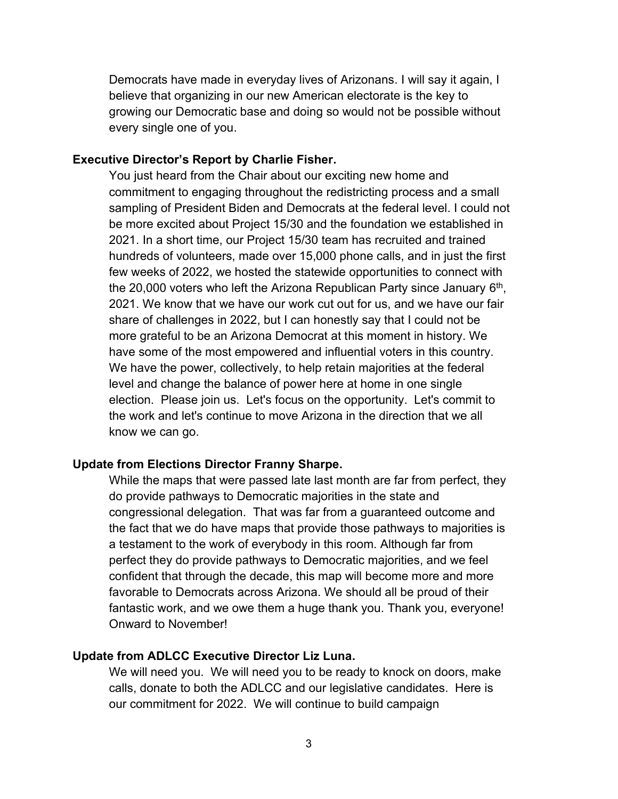Democrats have made in everyday lives of Arizonans. I will say it again, I believe that organizing in our new American electorate is the key to growing our Democratic base and doing so would not be possible without every single one of you.

#### **Executive Director's Report by Charlie Fisher.**

You just heard from the Chair about our exciting new home and commitment to engaging throughout the redistricting process and a small sampling of President Biden and Democrats at the federal level. I could not be more excited about Project 15/30 and the foundation we established in 2021. In a short time, our Project 15/30 team has recruited and trained hundreds of volunteers, made over 15,000 phone calls, and in just the first few weeks of 2022, we hosted the statewide opportunities to connect with the 20,000 voters who left the Arizona Republican Party since January  $6<sup>th</sup>$ , 2021. We know that we have our work cut out for us, and we have our fair share of challenges in 2022, but I can honestly say that I could not be more grateful to be an Arizona Democrat at this moment in history. We have some of the most empowered and influential voters in this country. We have the power, collectively, to help retain majorities at the federal level and change the balance of power here at home in one single election. Please join us. Let's focus on the opportunity. Let's commit to the work and let's continue to move Arizona in the direction that we all know we can go.

#### **Update from Elections Director Franny Sharpe.**

While the maps that were passed late last month are far from perfect, they do provide pathways to Democratic majorities in the state and congressional delegation. That was far from a guaranteed outcome and the fact that we do have maps that provide those pathways to majorities is a testament to the work of everybody in this room. Although far from perfect they do provide pathways to Democratic majorities, and we feel confident that through the decade, this map will become more and more favorable to Democrats across Arizona. We should all be proud of their fantastic work, and we owe them a huge thank you. Thank you, everyone! Onward to November!

### **Update from ADLCC Executive Director Liz Luna.**

We will need you. We will need you to be ready to knock on doors, make calls, donate to both the ADLCC and our legislative candidates. Here is our commitment for 2022. We will continue to build campaign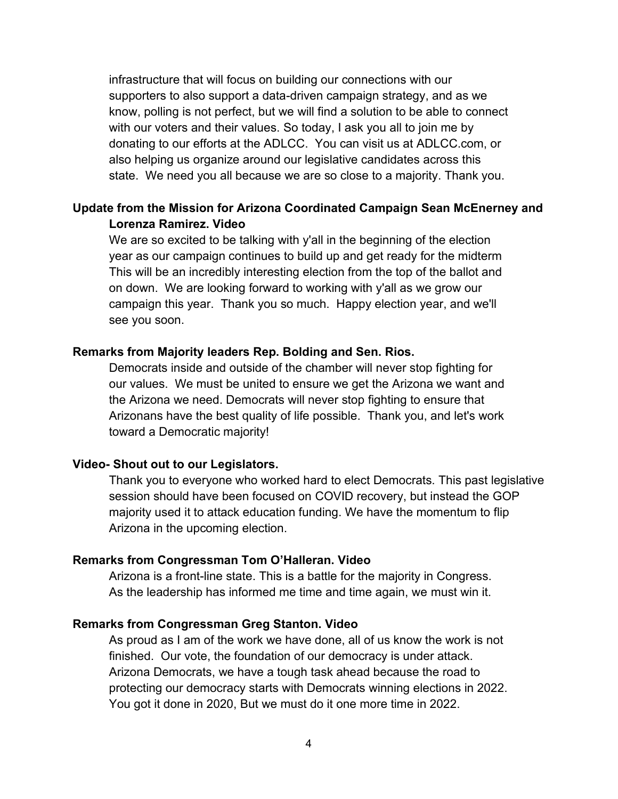infrastructure that will focus on building our connections with our supporters to also support a data-driven campaign strategy, and as we know, polling is not perfect, but we will find a solution to be able to connect with our voters and their values. So today, I ask you all to join me by donating to our efforts at the ADLCC. You can visit us at ADLCC.com, or also helping us organize around our legislative candidates across this state. We need you all because we are so close to a majority. Thank you.

## **Update from the Mission for Arizona Coordinated Campaign Sean McEnerney and Lorenza Ramirez. Video**

We are so excited to be talking with y'all in the beginning of the election year as our campaign continues to build up and get ready for the midterm This will be an incredibly interesting election from the top of the ballot and on down. We are looking forward to working with y'all as we grow our campaign this year. Thank you so much. Happy election year, and we'll see you soon.

#### **Remarks from Majority leaders Rep. Bolding and Sen. Rios.**

Democrats inside and outside of the chamber will never stop fighting for our values. We must be united to ensure we get the Arizona we want and the Arizona we need. Democrats will never stop fighting to ensure that Arizonans have the best quality of life possible. Thank you, and let's work toward a Democratic majority!

#### **Video- Shout out to our Legislators.**

Thank you to everyone who worked hard to elect Democrats. This past legislative session should have been focused on COVID recovery, but instead the GOP majority used it to attack education funding. We have the momentum to flip Arizona in the upcoming election.

### **Remarks from Congressman Tom O'Halleran. Video**

Arizona is a front-line state. This is a battle for the majority in Congress. As the leadership has informed me time and time again, we must win it.

#### **Remarks from Congressman Greg Stanton. Video**

As proud as I am of the work we have done, all of us know the work is not finished. Our vote, the foundation of our democracy is under attack. Arizona Democrats, we have a tough task ahead because the road to protecting our democracy starts with Democrats winning elections in 2022. You got it done in 2020, But we must do it one more time in 2022.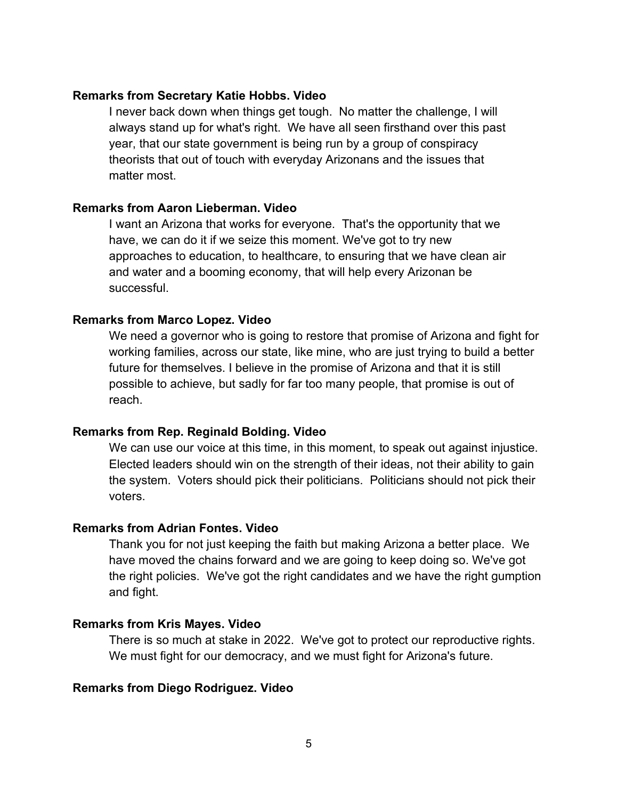### **Remarks from Secretary Katie Hobbs. Video**

I never back down when things get tough. No matter the challenge, I will always stand up for what's right. We have all seen firsthand over this past year, that our state government is being run by a group of conspiracy theorists that out of touch with everyday Arizonans and the issues that matter most.

### **Remarks from Aaron Lieberman. Video**

I want an Arizona that works for everyone. That's the opportunity that we have, we can do it if we seize this moment. We've got to try new approaches to education, to healthcare, to ensuring that we have clean air and water and a booming economy, that will help every Arizonan be successful.

#### **Remarks from Marco Lopez. Video**

We need a governor who is going to restore that promise of Arizona and fight for working families, across our state, like mine, who are just trying to build a better future for themselves. I believe in the promise of Arizona and that it is still possible to achieve, but sadly for far too many people, that promise is out of reach.

### **Remarks from Rep. Reginald Bolding. Video**

We can use our voice at this time, in this moment, to speak out against injustice. Elected leaders should win on the strength of their ideas, not their ability to gain the system. Voters should pick their politicians. Politicians should not pick their voters.

### **Remarks from Adrian Fontes. Video**

Thank you for not just keeping the faith but making Arizona a better place. We have moved the chains forward and we are going to keep doing so. We've got the right policies. We've got the right candidates and we have the right gumption and fight.

### **Remarks from Kris Mayes. Video**

There is so much at stake in 2022. We've got to protect our reproductive rights. We must fight for our democracy, and we must fight for Arizona's future.

### **Remarks from Diego Rodriguez. Video**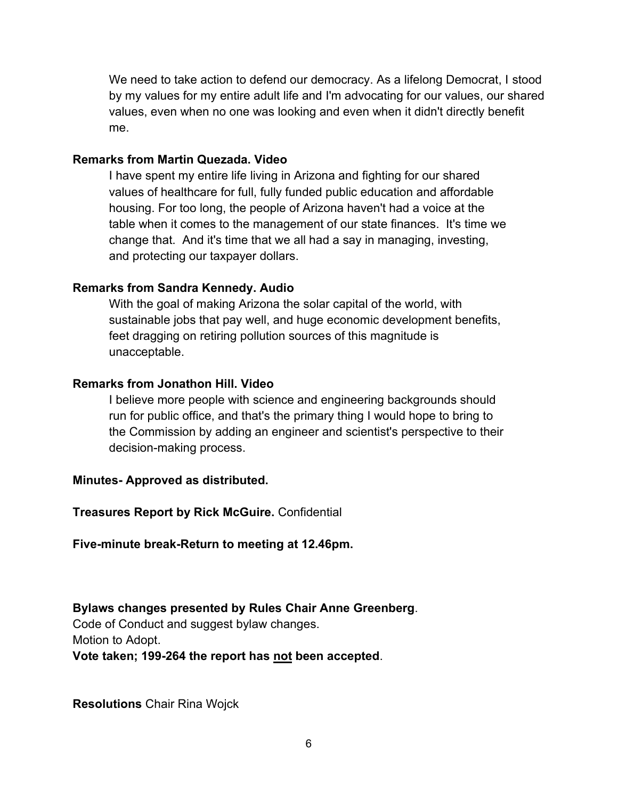We need to take action to defend our democracy. As a lifelong Democrat, I stood by my values for my entire adult life and I'm advocating for our values, our shared values, even when no one was looking and even when it didn't directly benefit me.

## **Remarks from Martin Quezada. Video**

I have spent my entire life living in Arizona and fighting for our shared values of healthcare for full, fully funded public education and affordable housing. For too long, the people of Arizona haven't had a voice at the table when it comes to the management of our state finances. It's time we change that. And it's time that we all had a say in managing, investing, and protecting our taxpayer dollars.

## **Remarks from Sandra Kennedy. Audio**

With the goal of making Arizona the solar capital of the world, with sustainable jobs that pay well, and huge economic development benefits, feet dragging on retiring pollution sources of this magnitude is unacceptable.

### **Remarks from Jonathon Hill. Video**

I believe more people with science and engineering backgrounds should run for public office, and that's the primary thing I would hope to bring to the Commission by adding an engineer and scientist's perspective to their decision-making process.

# **Minutes- Approved as distributed.**

**Treasures Report by Rick McGuire.** Confidential

**Five-minute break-Return to meeting at 12.46pm.**

**Bylaws changes presented by Rules Chair Anne [Greenberg](mailto:rules@azdem.org)**. Code of Conduct and suggest bylaw changes. Motion to Adopt. **Vote taken; 199-264 the report has not been accepted**.

**Resolutions** Chair Rina Wojck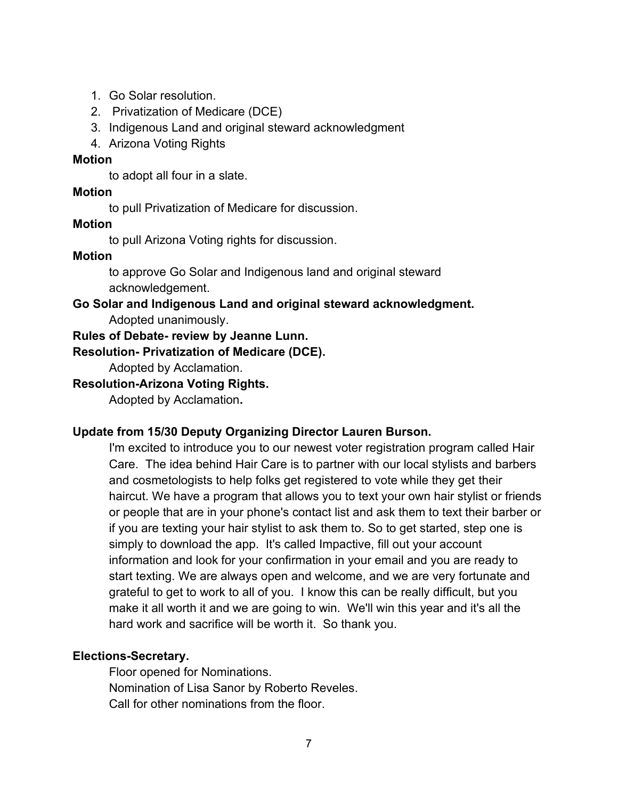- 1. Go Solar resolution.
- 2. Privatization of Medicare (DCE)
- 3. Indigenous Land and original steward acknowledgment
- 4. Arizona Voting Rights

### **Motion**

to adopt all four in a slate.

## **Motion**

to pull Privatization of Medicare for discussion.

## **Motion**

to pull Arizona Voting rights for discussion.

## **Motion**

to approve Go Solar and Indigenous land and original steward acknowledgement.

**Go Solar and Indigenous Land and original steward acknowledgment.** Adopted unanimously.

**Rules of Debate- review by Jeanne Lunn.**

## **Resolution- Privatization of Medicare (DCE).**

Adopted by Acclamation.

## **Resolution-Arizona Voting Rights.**

Adopted by Acclamation**.** 

# **Update from 15/30 Deputy Organizing Director Lauren Burson.**

I'm excited to introduce you to our newest voter registration program called Hair Care. The idea behind Hair Care is to partner with our local stylists and barbers and cosmetologists to help folks get registered to vote while they get their haircut. We have a program that allows you to text your own hair stylist or friends or people that are in your phone's contact list and ask them to text their barber or if you are texting your hair stylist to ask them to. So to get started, step one is simply to download the app. It's called Impactive, fill out your account information and look for your confirmation in your email and you are ready to start texting. We are always open and welcome, and we are very fortunate and grateful to get to work to all of you. I know this can be really difficult, but you make it all worth it and we are going to win. We'll win this year and it's all the hard work and sacrifice will be worth it. So thank you.

# **Elections-Secretary.**

Floor opened for Nominations. Nomination of Lisa Sanor by Roberto Reveles. Call for other nominations from the floor.